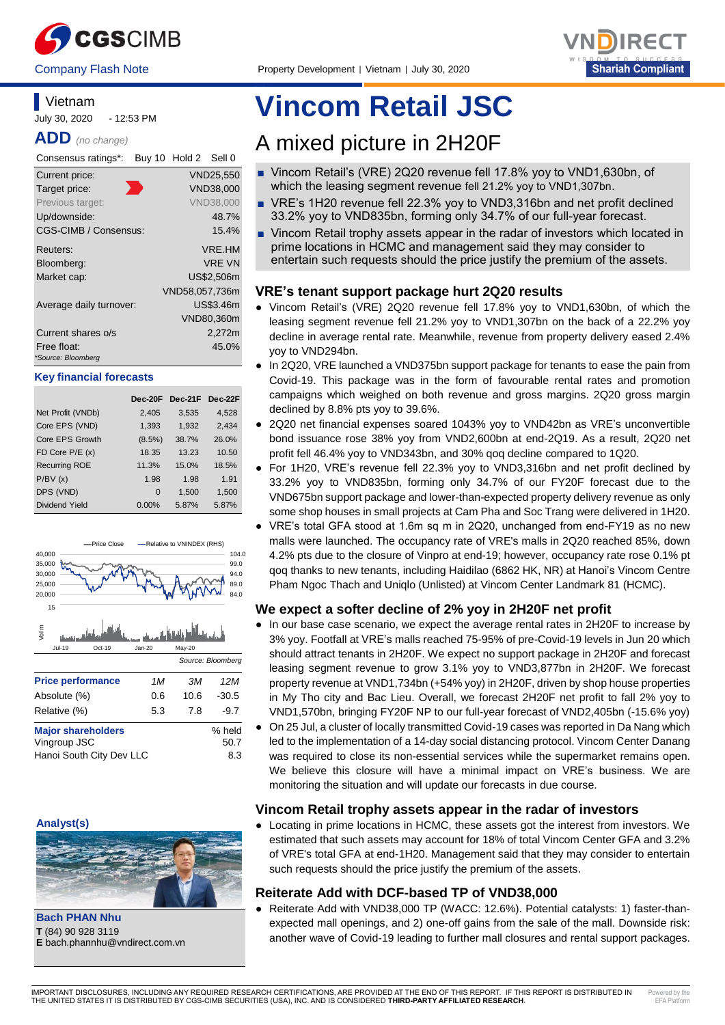



### **Vietnam**

July 30, 2020 - 12:53 PM

**ADD** *(no change)*

| Consensus ratings*:     | Buy 10 Hold 2 Sell 0 |                  |
|-------------------------|----------------------|------------------|
| Current price:          |                      | VND25,550        |
| Target price:           |                      | VND38,000        |
| Previous target:        |                      | <b>VND38.000</b> |
| Up/downside:            |                      | 48.7%            |
| CGS-CIMB / Consensus:   |                      | 15.4%            |
| Reuters:                |                      | VRE.HM           |
| Bloomberg:              |                      | <b>VRE VN</b>    |
| Market cap:             |                      | US\$2.506m       |
|                         | VND58,057,736m       |                  |
| Average daily turnover: |                      | US\$3.46m        |
|                         |                      | VND80,360m       |
| Current shares o/s      |                      | 2,272m           |
| Free float:             |                      | 45.0%            |
| *Source: Bloomberg      |                      |                  |

#### **Key financial forecasts**

|                      | $Dec-20F$ | Dec-21F Dec-22F |       |
|----------------------|-----------|-----------------|-------|
| Net Profit (VNDb)    | 2,405     | 3,535           | 4,528 |
| Core EPS (VND)       | 1,393     | 1,932           | 2,434 |
| Core EPS Growth      | $(8.5\%)$ | 38.7%           | 26.0% |
| FD Core $P/E(x)$     | 18.35     | 13.23           | 10.50 |
| <b>Recurring ROE</b> | 11.3%     | 15.0%           | 18.5% |
| P/BV(x)              | 1.98      | 1.98            | 1.91  |
| DPS (VND)            | $\Omega$  | 1.500           | 1,500 |
| Dividend Yield       | $0.00\%$  | 5.87%           | 5.87% |



#### **Analyst(s)**



**Bach PHAN Nhu T** (84) 90 928 3119

# **Vincom Retail JSC**

## A mixed picture in 2H20F

- Vincom Retail's (VRE) 2Q20 revenue fell 17.8% yoy to VND1,630bn, of which the leasing segment revenue fell 21.2% yoy to VND1,307bn.
- VRE's 1H20 revenue fell 22.3% yoy to VND3,316bn and net profit declined 33.2% yoy to VND835bn, forming only 34.7% of our full-year forecast.
- Vincom Retail trophy assets appear in the radar of investors which located in prime locations in HCMC and management said they may consider to entertain such requests should the price justify the premium of the assets.

#### **VRE's tenant support package hurt 2Q20 results**

- Vincom Retail's (VRE) 2Q20 revenue fell 17.8% yoy to VND1,630bn, of which the leasing segment revenue fell 21.2% yoy to VND1,307bn on the back of a 22.2% yoy decline in average rental rate. Meanwhile, revenue from property delivery eased 2.4% yoy to VND294bn.
- In 2Q20, VRE launched a VND375bn support package for tenants to ease the pain from Covid-19. This package was in the form of favourable rental rates and promotion campaigns which weighed on both revenue and gross margins. 2Q20 gross margin declined by 8.8% pts yoy to 39.6%.
- 2Q20 net financial expenses soared 1043% yoy to VND42bn as VRE's unconvertible bond issuance rose 38% yoy from VND2,600bn at end-2Q19. As a result, 2Q20 net profit fell 46.4% yoy to VND343bn, and 30% qoq decline compared to 1Q20.
- For 1H20, VRE's revenue fell 22.3% yoy to VND3,316bn and net profit declined by 33.2% yoy to VND835bn, forming only 34.7% of our FY20F forecast due to the VND675bn support package and lower-than-expected property delivery revenue as only some shop houses in small projects at Cam Pha and Soc Trang were delivered in 1H20.
- VRE's total GFA stood at 1.6m sq m in 2Q20, unchanged from end-FY19 as no new malls were launched. The occupancy rate of VRE's malls in 2Q20 reached 85%, down 4.2% pts due to the closure of Vinpro at end-19; however, occupancy rate rose 0.1% pt qoq thanks to new tenants, including Haidilao (6862 HK, NR) at Hanoi's Vincom Centre Pham Ngoc Thach and Uniqlo (Unlisted) at Vincom Center Landmark 81 (HCMC).

#### **We expect a softer decline of 2% yoy in 2H20F net profit**

- In our base case scenario, we expect the average rental rates in 2H20F to increase by 3% yoy. Footfall at VRE's malls reached 75-95% of pre-Covid-19 levels in Jun 20 which should attract tenants in 2H20F. We expect no support package in 2H20F and forecast leasing segment revenue to grow 3.1% yoy to VND3,877bn in 2H20F. We forecast property revenue at VND1,734bn (+54% yoy) in 2H20F, driven by shop house properties in My Tho city and Bac Lieu. Overall, we forecast 2H20F net profit to fall 2% yoy to VND1,570bn, bringing FY20F NP to our full-year forecast of VND2,405bn (-15.6% yoy)
- On 25 Jul, a cluster of locally transmitted Covid-19 cases was reported in Da Nang which led to the implementation of a 14-day social distancing protocol. Vincom Center Danang was required to close its non-essential services while the supermarket remains open. We believe this closure will have a minimal impact on VRE's business. We are monitoring the situation and will update our forecasts in due course.

#### **Vincom Retail trophy assets appear in the radar of investors**

● Locating in prime locations in HCMC, these assets got the interest from investors. We estimated that such assets may account for 18% of total Vincom Center GFA and 3.2% of VRE's total GFA at end-1H20. Management said that they may consider to entertain such requests should the price justify the premium of the assets.

#### **Reiterate Add with DCF-based TP of VND38,000**

● Reiterate Add with VND38,000 TP (WACC: 12.6%). Potential catalysts: 1) faster-thanexpected mall openings, and 2) one-off gains from the sale of the mall. Downside risk: another wave of Covid-19 leading to further mall closures and rental support packages.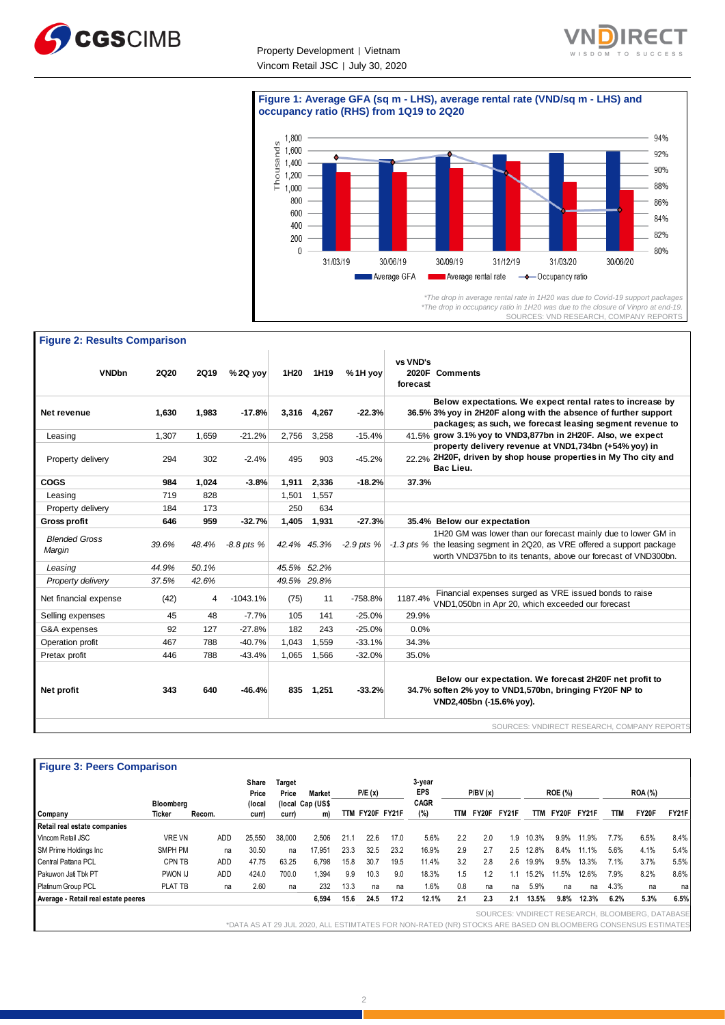

Property Development | Vietnam Vincom Retail JSC | July 30, 2020

٦



#### **Figure 1: Average GFA (sq m - LHS), average rental rate (VND/sq m - LHS) and occupancy ratio (RHS) from 1Q19 to 2Q20**



*<sup>\*</sup>The drop in occupancy ratio in 1H20 was due to the closure of Vinpro at end-19.* SOURCES: VND RESEARCH, COMPANY REPORTS

#### **Figure 2: Results Comparison**

| <b>VNDbn</b>                   | <b>2Q20</b> | <b>2Q19</b> | $% 2Q$ yoy     | 1H <sub>20</sub> | 1H19        | %1H yov        | vs VND's<br>2020F Comments<br>forecast                                                                                                                                                                      |
|--------------------------------|-------------|-------------|----------------|------------------|-------------|----------------|-------------------------------------------------------------------------------------------------------------------------------------------------------------------------------------------------------------|
| Net revenue                    | 1,630       | 1,983       | $-17.8%$       | 3,316            | 4,267       | $-22.3%$       | Below expectations. We expect rental rates to increase by<br>36.5% 3% yoy in 2H20F along with the absence of further support<br>packages; as such, we forecast leasing segment revenue to                   |
| Leasing                        | 1,307       | 1,659       | $-21.2%$       | 2,756            | 3,258       | $-15.4%$       | 41.5% grow 3.1% yoy to VND3,877bn in 2H20F. Also, we expect                                                                                                                                                 |
| Property delivery              | 294         | 302         | $-2.4%$        | 495              | 903         | $-45.2%$       | property delivery revenue at VND1,734bn (+54% yoy) in<br>22.2%, 2H20F, driven by shop house properties in My Tho city and<br>Bac Lieu.                                                                      |
| <b>COGS</b>                    | 984         | 1,024       | $-3.8%$        | 1,911            | 2,336       | $-18.2%$       | 37.3%                                                                                                                                                                                                       |
| Leasing                        | 719         | 828         |                | 1,501            | 1,557       |                |                                                                                                                                                                                                             |
| Property delivery              | 184         | 173         |                | 250              | 634         |                |                                                                                                                                                                                                             |
| <b>Gross profit</b>            | 646         | 959         | $-32.7%$       | 1,405            | 1,931       | $-27.3%$       | 35.4% Below our expectation                                                                                                                                                                                 |
| <b>Blended Gross</b><br>Margin | 39.6%       | 48.4%       | $-8.8$ pts $%$ |                  | 42.4% 45.3% | $-2.9$ pts $%$ | 1H20 GM was lower than our forecast mainly due to lower GM in<br>-1.3 pts % the leasing segment in 2Q20, as VRE offered a support package<br>worth VND375bn to its tenants, above our forecast of VND300bn. |
| Leasing                        | 44.9%       | 50.1%       |                | 45.5% 52.2%      |             |                |                                                                                                                                                                                                             |
| Property delivery              | 37.5%       | 42.6%       |                | 49.5% 29.8%      |             |                |                                                                                                                                                                                                             |
| Net financial expense          | (42)        | 4           | $-1043.1%$     | (75)             | 11          | $-758.8%$      | Financial expenses surged as VRE issued bonds to raise<br>1187.4%<br>VND1,050bn in Apr 20, which exceeded our forecast                                                                                      |
| Selling expenses               | 45          | 48          | $-7.7%$        | 105              | 141         | $-25.0%$       | 29.9%                                                                                                                                                                                                       |
| G&A expenses                   | 92          | 127         | $-27.8%$       | 182              | 243         | $-25.0%$       | 0.0%                                                                                                                                                                                                        |
| Operation profit               | 467         | 788         | $-40.7%$       | 1.043            | 1.559       | $-33.1%$       | 34.3%                                                                                                                                                                                                       |
| Pretax profit                  | 446         | 788         | $-43.4%$       | 1,065            | 1,566       | $-32.0%$       | 35.0%                                                                                                                                                                                                       |
| Net profit                     | 343         | 640         | $-46.4%$       | 835              | 1,251       | $-33.2%$       | Below our expectation. We forecast 2H20F net profit to<br>34.7% soften 2% yoy to VND1,570bn, bringing FY20F NP to<br>VND2,405bn (-15.6% yoy).                                                               |
|                                |             |             |                |                  |             |                | SOURCES: VNDIRECT RESEARCH, COMPANY REPORTS                                                                                                                                                                 |

| <b>Figure 3: Peers Comparison</b> |               |        |                |                 |                  |      |                 |      |                      |     |                 |     |       |                |             |            |                |              |
|-----------------------------------|---------------|--------|----------------|-----------------|------------------|------|-----------------|------|----------------------|-----|-----------------|-----|-------|----------------|-------------|------------|----------------|--------------|
|                                   |               |        | Share<br>Price | Target<br>Price | <b>Market</b>    |      | P/E(x)          |      | 3-year<br><b>EPS</b> |     | P/BV(x)         |     |       | <b>ROE (%)</b> |             |            | <b>ROA</b> (%) |              |
|                                   | Bloomberg     |        | (local         |                 | (local Cap (US\$ |      |                 |      | <b>CAGR</b>          |     |                 |     |       |                |             |            |                |              |
| Company                           | Ticker        | Recom. | curr)          | curr)           | m)               |      | TTM FY20F FY21F |      | (%)                  |     | TTM FY20F FY21F |     | TTM   |                | FY20F FY21F | <b>TTM</b> | FY20F          | <b>FY21F</b> |
| Retail real estate companies      |               |        |                |                 |                  |      |                 |      |                      |     |                 |     |       |                |             |            |                |              |
| Vincom Retail JSC                 | <b>VRE VN</b> | ADD    | 25.550         | 38,000          | 2.506            | 21.1 | 22.6            | 17.0 | 5.6%                 | 2.2 | 2.0             | 1.9 | 10.3% | 9.9%           | 11.9%       | 7.7%       | 6.5%           | 8.4%         |
| _ _ _ _ _ _ _ _ _ _ _ _           | ---------     |        | $- - - -$      |                 |                  |      |                 |      | .                    |     |                 |     |       |                |             |            | .              | ---          |

SOURCES: VNDIRECT RESEARCH, BLOOMBERG, DATABAS \*DATA AS AT 29 JUL 2020, ALL ESTIMTATES FOR NON-RATED (NR) STOCKS ARE BASED ON BLOOMBERG CONSENSUS ESTIMATES SM Prime Holdings Inc SMPH PM na 30.50 na 17,951 23.3 32.5 23.2 16.9% 2.9 2.7 2.5 12.8% 8.4% 11.1% 5.6% 4.1% 5.4% Central Pattana PCL CPN TB ADD 47.75 63.25 6,798 15.8 30.7 19.5 11.4% 3.2 2.8 2.6 19.9% 9.5% 13.3% 7.1% 3.7% 5.5% Pakuwon Jati Tbk PT PWON IJ ADD 424.0 700.0 1,394 9.9 10.3 9.0 18.3% 1.5 1.2 1.1 15.2% 11.5% 12.6% 7.9% 8.2% 8.6% Platinum Group PCL PLAT TB na 2.60 na 232 13.3 na na 1.6% 0.8 na na 5.9% na na 4.3% na na **Average - Retail real estate peeres 6,594 15.6 24.5 17.2 12.1% 2.1 2.3 2.1 13.5% 9.8% 12.3% 6.2% 5.3% 6.5%**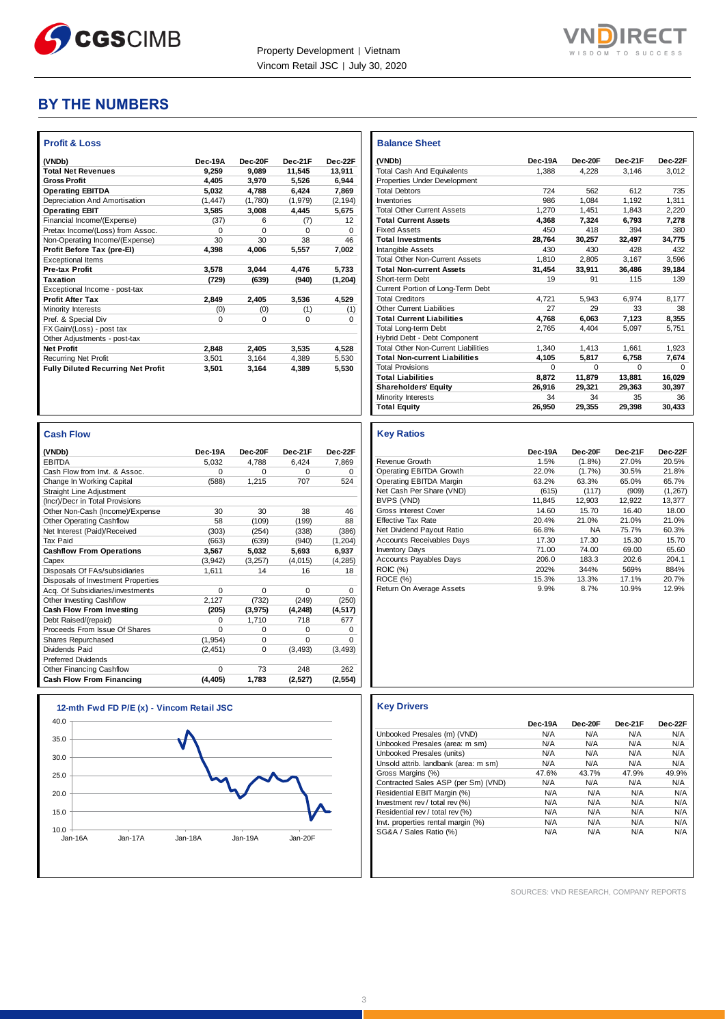



#### **BY THE NUMBERS**

| <b>Profit &amp; Loss</b>                  |          |          |              |          |
|-------------------------------------------|----------|----------|--------------|----------|
| (VNDb)                                    | Dec-19A  | Dec-20F  | Dec-21F      | Dec-22F  |
| <b>Total Net Revenues</b>                 | 9.259    | 9.089    | 11.545       | 13,911   |
| <b>Gross Profit</b>                       | 4.405    | 3,970    | 5.526        | 6,944    |
| <b>Operating EBITDA</b>                   | 5.032    | 4.788    | 6,424        | 7.869    |
| Depreciation And Amortisation             | (1.447)  | (1,780)  | (1, 979)     | (2, 194) |
| <b>Operating EBIT</b>                     | 3.585    | 3,008    | 4,445        | 5,675    |
| Financial Income/(Expense)                | (37)     | 6        | (7)          | 12       |
| Pretax Income/(Loss) from Assoc.          | O        | $\Omega$ | <sup>0</sup> | 0        |
| Non-Operating Income/(Expense)            | 30       | 30       | 38           | 46       |
| Profit Before Tax (pre-EI)                | 4.398    | 4.006    | 5,557        | 7.002    |
| <b>Exceptional Items</b>                  |          |          |              |          |
| <b>Pre-tax Profit</b>                     | 3.578    | 3.044    | 4.476        | 5,733    |
| Taxation                                  | (729)    | (639)    | (940)        | (1, 204) |
| Exceptional Income - post-tax             |          |          |              |          |
| <b>Profit After Tax</b>                   | 2.849    | 2,405    | 3.536        | 4.529    |
| Minority Interests                        | (0)      | (0)      | (1)          | (1)      |
| Pref. & Special Div                       | $\Omega$ | $\Omega$ | $\Omega$     | $\Omega$ |
| FX Gain/(Loss) - post tax                 |          |          |              |          |
| Other Adjustments - post-tax              |          |          |              |          |
| <b>Net Profit</b>                         | 2,848    | 2,405    | 3.535        | 4.528    |
| <b>Recurring Net Profit</b>               | 3.501    | 3.164    | 4.389        | 5.530    |
| <b>Fully Diluted Recurring Net Profit</b> | 3,501    | 3,164    | 4,389        | 5,530    |
|                                           |          |          |              |          |

| <b>Cash Flow</b>                   |          |          |          |          |
|------------------------------------|----------|----------|----------|----------|
| (VNDb)                             | Dec-19A  | Dec-20F  | Dec-21F  | Dec-22F  |
| <b>EBITDA</b>                      | 5,032    | 4.788    | 6,424    | 7,869    |
| Cash Flow from Invt. & Assoc.      | $\Omega$ | $\Omega$ | $\Omega$ | $\Omega$ |
| Change In Working Capital          | (588)    | 1,215    | 707      | 524      |
| Straight Line Adjustment           |          |          |          |          |
| (Incr)/Decr in Total Provisions    |          |          |          |          |
| Other Non-Cash (Income)/Expense    | 30       | 30       | 38       | 46       |
| <b>Other Operating Cashflow</b>    | 58       | (109)    | (199)    | 88       |
| Net Interest (Paid)/Received       | (303)    | (254)    | (338)    | (386)    |
| <b>Tax Paid</b>                    | (663)    | (639)    | (940)    | (1, 204) |
| <b>Cashflow From Operations</b>    | 3,567    | 5,032    | 5,693    | 6,937    |
| Capex                              | (3,942)  | (3, 257) | (4,015)  | (4, 285) |
| Disposals Of FAs/subsidiaries      | 1.611    | 14       | 16       | 18       |
| Disposals of Investment Properties |          |          |          |          |
| Acq. Of Subsidiaries/investments   | $\Omega$ | $\Omega$ | $\Omega$ | $\Omega$ |
| Other Investing Cashflow           | 2.127    | (732)    | (249)    | (250)    |
| Cash Flow From Investing           | (205)    | (3, 975) | (4, 248) | (4, 517) |
| Debt Raised/(repaid)               | $\Omega$ | 1,710    | 718      | 677      |
| Proceeds From Issue Of Shares      | $\Omega$ | $\Omega$ | $\Omega$ | 0        |
| Shares Repurchased                 | (1, 954) | $\Omega$ | $\Omega$ | $\Omega$ |
| Dividends Paid                     | (2, 451) | 0        | (3, 493) | (3, 493) |
| <b>Preferred Dividends</b>         |          |          |          |          |
| Other Financing Cashflow           | $\Omega$ | 73       | 248      | 262      |
| Cash Flow From Financing           | (4, 405) | 1,783    | (2,527)  | (2, 554) |



| <b>Balance Sheet</b>                       |          |          |          |          |
|--------------------------------------------|----------|----------|----------|----------|
| (VNDb)                                     | Dec-19A  | Dec-20F  | Dec-21F  | Dec-22F  |
| <b>Total Cash And Equivalents</b>          | 1.388    | 4.228    | 3.146    | 3,012    |
| Properties Under Development               |          |          |          |          |
| <b>Total Debtors</b>                       | 724      | 562      | 612      | 735      |
| Inventories                                | 986      | 1.084    | 1.192    | 1,311    |
| <b>Total Other Current Assets</b>          | 1.270    | 1.451    | 1.843    | 2.220    |
| <b>Total Current Assets</b>                | 4.368    | 7.324    | 6.793    | 7.278    |
| <b>Fixed Assets</b>                        | 450      | 418      | 394      | 380      |
| <b>Total Investments</b>                   | 28,764   | 30,257   | 32,497   | 34,775   |
| Intangible Assets                          | 430      | 430      | 428      | 432      |
| <b>Total Other Non-Current Assets</b>      | 1,810    | 2.805    | 3.167    | 3.596    |
| <b>Total Non-current Assets</b>            | 31,454   | 33,911   | 36.486   | 39,184   |
| Short-term Debt                            | 19       | 91       | 115      | 139      |
| Current Portion of Long-Term Debt          |          |          |          |          |
| <b>Total Creditors</b>                     | 4.721    | 5.943    | 6.974    | 8.177    |
| <b>Other Current Liabilities</b>           | 27       | 29       | 33       | 38       |
| <b>Total Current Liabilities</b>           | 4.768    | 6.063    | 7.123    | 8.355    |
| <b>Total Long-term Debt</b>                | 2,765    | 4.404    | 5,097    | 5,751    |
| Hybrid Debt - Debt Component               |          |          |          |          |
| <b>Total Other Non-Current Liabilities</b> | 1.340    | 1.413    | 1.661    | 1.923    |
| <b>Total Non-current Liabilities</b>       | 4.105    | 5.817    | 6.758    | 7,674    |
| <b>Total Provisions</b>                    | $\Omega$ | $\Omega$ | $\Omega$ | $\Omega$ |
| <b>Total Liabilities</b>                   | 8.872    | 11.879   | 13.881   | 16,029   |
| <b>Shareholders' Equity</b>                | 26.916   | 29.321   | 29.363   | 30,397   |
| Minority Interests                         | 34       | 34       | 35       | 36       |
| <b>Total Equity</b>                        | 26.950   | 29,355   | 29,398   | 30,433   |

#### **Key Ratios**

|                                  | Dec-19A | Dec-20F   | Dec-21F | Dec-22F  |
|----------------------------------|---------|-----------|---------|----------|
| Revenue Growth                   | 1.5%    | $(1.8\%)$ | 27.0%   | 20.5%    |
| Operating EBITDA Growth          | 22.0%   | (1.7%)    | 30.5%   | 21.8%    |
| Operating EBITDA Margin          | 63.2%   | 63.3%     | 65.0%   | 65.7%    |
| Net Cash Per Share (VND)         | (615)   | (117)     | (909)   | (1, 267) |
| BVPS (VND)                       | 11.845  | 12.903    | 12.922  | 13.377   |
| Gross Interest Cover             | 14.60   | 15.70     | 16.40   | 18.00    |
| Effective Tax Rate               | 20.4%   | 21.0%     | 21.0%   | 21.0%    |
| Net Dividend Payout Ratio        | 66.8%   | <b>NA</b> | 75.7%   | 60.3%    |
| <b>Accounts Receivables Days</b> | 17.30   | 17.30     | 15.30   | 15.70    |
| <b>Inventory Days</b>            | 71.00   | 74.00     | 69.00   | 65.60    |
| <b>Accounts Payables Days</b>    | 206.0   | 183.3     | 202.6   | 204.1    |
| <b>ROIC (%)</b>                  | 202%    | 344%      | 569%    | 884%     |
| ROCE (%)                         | 15.3%   | 13.3%     | 17.1%   | 20.7%    |
| Return On Average Assets         | 9.9%    | 8.7%      | 10.9%   | 12.9%    |

|                                      | Dec-19A | Dec-20F | Dec-21F | Dec-22F |
|--------------------------------------|---------|---------|---------|---------|
| Unbooked Presales (m) (VND)          | N/A     | N/A     | N/A     | N/A     |
| Unbooked Presales (area: m sm)       | N/A     | N/A     | N/A     | N/A     |
| Unbooked Presales (units)            | N/A     | N/A     | N/A     | N/A     |
| Unsold attrib. landbank (area: m sm) | N/A     | N/A     | N/A     | N/A     |
| Gross Margins (%)                    | 47.6%   | 43.7%   | 47.9%   | 49.9%   |
| Contracted Sales ASP (per Sm) (VND)  | N/A     | N/A     | N/A     | N/A     |
| Residential EBIT Margin (%)          | N/A     | N/A     | N/A     | N/A     |
| Investment rev / total rev (%)       | N/A     | N/A     | N/A     | N/A     |
| Residential rev / total rev (%)      | N/A     | N/A     | N/A     | N/A     |
| Invt. properties rental margin (%)   | N/A     | N/A     | N/A     | N/A     |
| SG&A / Sales Ratio (%)               | N/A     | N/A     | N/A     | N/A     |
|                                      |         |         |         |         |

SOURCES: VND RESEARCH, COMPANY REPORTS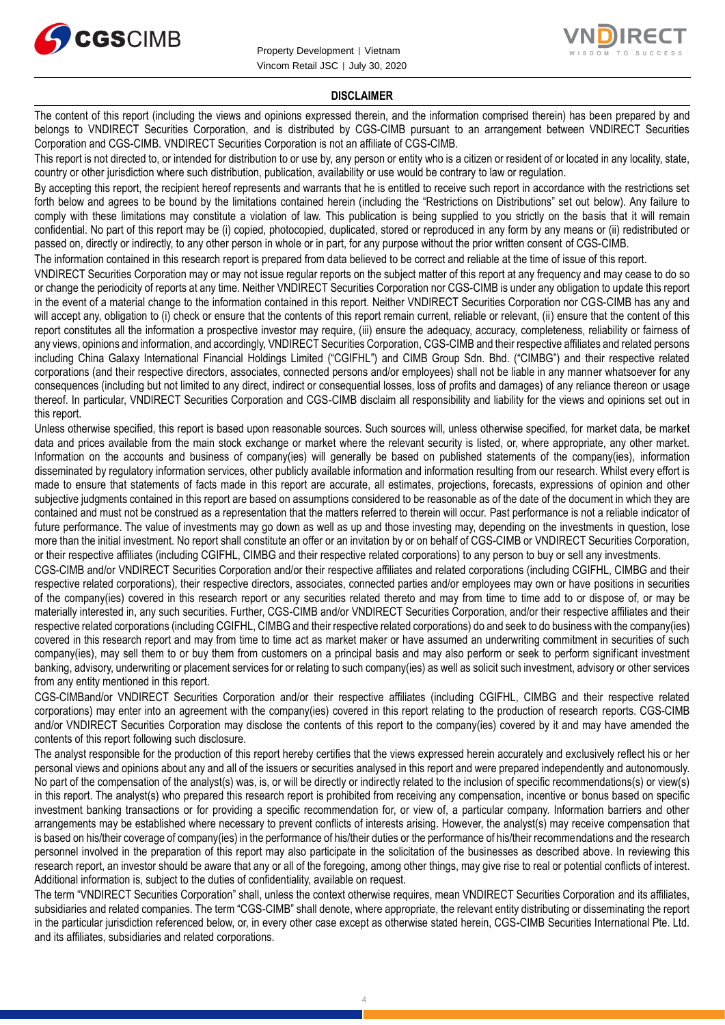



#### **DISCLAIMER**

The content of this report (including the views and opinions expressed therein, and the information comprised therein) has been prepared by and belongs to VNDIRECT Securities Corporation, and is distributed by CGS-CIMB pursuant to an arrangement between VNDIRECT Securities Corporation and CGS-CIMB. VNDIRECT Securities Corporation is not an affiliate of CGS-CIMB.

This report is not directed to, or intended for distribution to or use by, any person or entity who is a citizen or resident of or located in any locality, state, country or other jurisdiction where such distribution, publication, availability or use would be contrary to law or regulation.

By accepting this report, the recipient hereof represents and warrants that he is entitled to receive such report in accordance with the restrictions set forth below and agrees to be bound by the limitations contained herein (including the "Restrictions on Distributions" set out below). Any failure to comply with these limitations may constitute a violation of law. This publication is being supplied to you strictly on the basis that it will remain confidential. No part of this report may be (i) copied, photocopied, duplicated, stored or reproduced in any form by any means or (ii) redistributed or passed on, directly or indirectly, to any other person in whole or in part, for any purpose without the prior written consent of CGS-CIMB.

The information contained in this research report is prepared from data believed to be correct and reliable at the time of issue of this report.

VNDIRECT Securities Corporation may or may not issue regular reports on the subject matter of this report at any frequency and may cease to do so or change the periodicity of reports at any time. Neither VNDIRECT Securities Corporation nor CGS-CIMB is under any obligation to update this report in the event of a material change to the information contained in this report. Neither VNDIRECT Securities Corporation nor CGS-CIMB has any and will accept any, obligation to (i) check or ensure that the contents of this report remain current, reliable or relevant, (ii) ensure that the content of this report constitutes all the information a prospective investor may require, (iii) ensure the adequacy, accuracy, completeness, reliability or fairness of any views, opinions and information, and accordingly, VNDIRECT Securities Corporation, CGS-CIMB and their respective affiliates and related persons including China Galaxy International Financial Holdings Limited ("CGIFHL") and CIMB Group Sdn. Bhd. ("CIMBG") and their respective related corporations (and their respective directors, associates, connected persons and/or employees) shall not be liable in any manner whatsoever for any consequences (including but not limited to any direct, indirect or consequential losses, loss of profits and damages) of any reliance thereon or usage thereof. In particular, VNDIRECT Securities Corporation and CGS-CIMB disclaim all responsibility and liability for the views and opinions set out in this report.

Unless otherwise specified, this report is based upon reasonable sources. Such sources will, unless otherwise specified, for market data, be market data and prices available from the main stock exchange or market where the relevant security is listed, or, where appropriate, any other market. Information on the accounts and business of company(ies) will generally be based on published statements of the company(ies), information disseminated by regulatory information services, other publicly available information and information resulting from our research. Whilst every effort is made to ensure that statements of facts made in this report are accurate, all estimates, projections, forecasts, expressions of opinion and other subjective judgments contained in this report are based on assumptions considered to be reasonable as of the date of the document in which they are contained and must not be construed as a representation that the matters referred to therein will occur. Past performance is not a reliable indicator of future performance. The value of investments may go down as well as up and those investing may, depending on the investments in question, lose more than the initial investment. No report shall constitute an offer or an invitation by or on behalf of CGS-CIMB or VNDIRECT Securities Corporation, or their respective affiliates (including CGIFHL, CIMBG and their respective related corporations) to any person to buy or sell any investments.

CGS-CIMB and/or VNDIRECT Securities Corporation and/or their respective affiliates and related corporations (including CGIFHL, CIMBG and their respective related corporations), their respective directors, associates, connected parties and/or employees may own or have positions in securities of the company(ies) covered in this research report or any securities related thereto and may from time to time add to or dispose of, or may be materially interested in, any such securities. Further, CGS-CIMB and/or VNDIRECT Securities Corporation, and/or their respective affiliates and their respective related corporations (including CGIFHL, CIMBG and their respective related corporations) do and seek to do business with the company(ies) covered in this research report and may from time to time act as market maker or have assumed an underwriting commitment in securities of such company(ies), may sell them to or buy them from customers on a principal basis and may also perform or seek to perform significant investment banking, advisory, underwriting or placement services for or relating to such company(ies) as well as solicit such investment, advisory or other services from any entity mentioned in this report.

CGS-CIMBand/or VNDIRECT Securities Corporation and/or their respective affiliates (including CGIFHL, CIMBG and their respective related corporations) may enter into an agreement with the company(ies) covered in this report relating to the production of research reports. CGS-CIMB and/or VNDIRECT Securities Corporation may disclose the contents of this report to the company(ies) covered by it and may have amended the contents of this report following such disclosure.

The analyst responsible for the production of this report hereby certifies that the views expressed herein accurately and exclusively reflect his or her personal views and opinions about any and all of the issuers or securities analysed in this report and were prepared independently and autonomously. No part of the compensation of the analyst(s) was, is, or will be directly or indirectly related to the inclusion of specific recommendations(s) or view(s) in this report. The analyst(s) who prepared this research report is prohibited from receiving any compensation, incentive or bonus based on specific investment banking transactions or for providing a specific recommendation for, or view of, a particular company. Information barriers and other arrangements may be established where necessary to prevent conflicts of interests arising. However, the analyst(s) may receive compensation that is based on his/their coverage of company(ies) in the performance of his/their duties or the performance of his/their recommendations and the research personnel involved in the preparation of this report may also participate in the solicitation of the businesses as described above. In reviewing this research report, an investor should be aware that any or all of the foregoing, among other things, may give rise to real or potential conflicts of interest. Additional information is, subject to the duties of confidentiality, available on request.

The term "VNDIRECT Securities Corporation" shall, unless the context otherwise requires, mean VNDIRECT Securities Corporation and its affiliates, subsidiaries and related companies. The term "CGS-CIMB" shall denote, where appropriate, the relevant entity distributing or disseminating the report in the particular jurisdiction referenced below, or, in every other case except as otherwise stated herein, CGS-CIMB Securities International Pte. Ltd. and its affiliates, subsidiaries and related corporations.

4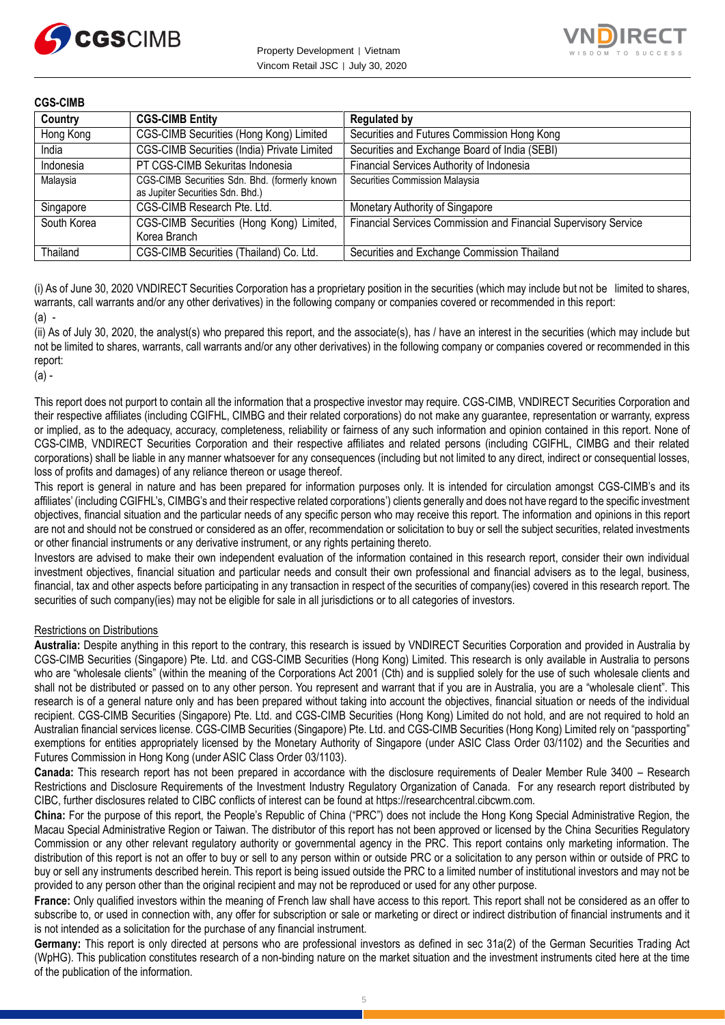



#### **CGS-CIMB**

| Country     | <b>CGS-CIMB Entity</b>                                                            | <b>Regulated by</b>                                             |
|-------------|-----------------------------------------------------------------------------------|-----------------------------------------------------------------|
| Hong Kong   | CGS-CIMB Securities (Hong Kong) Limited                                           | Securities and Futures Commission Hong Kong                     |
| India       | CGS-CIMB Securities (India) Private Limited                                       | Securities and Exchange Board of India (SEBI)                   |
| Indonesia   | PT CGS-CIMB Sekuritas Indonesia                                                   | Financial Services Authority of Indonesia                       |
| Malaysia    | CGS-CIMB Securities Sdn. Bhd. (formerly known<br>as Jupiter Securities Sdn. Bhd.) | Securities Commission Malaysia                                  |
| Singapore   | CGS-CIMB Research Pte. Ltd.                                                       | Monetary Authority of Singapore                                 |
| South Korea | CGS-CIMB Securities (Hong Kong) Limited,<br>Korea Branch                          | Financial Services Commission and Financial Supervisory Service |
| Thailand    | CGS-CIMB Securities (Thailand) Co. Ltd.                                           | Securities and Exchange Commission Thailand                     |

(i) As of June 30, 2020 VNDIRECT Securities Corporation has a proprietary position in the securities (which may include but not be limited to shares, warrants, call warrants and/or any other derivatives) in the following company or companies covered or recommended in this report:  $(a)$ .

(ii) As of July 30, 2020, the analyst(s) who prepared this report, and the associate(s), has / have an interest in the securities (which may include but not be limited to shares, warrants, call warrants and/or any other derivatives) in the following company or companies covered or recommended in this report:

(a) -

This report does not purport to contain all the information that a prospective investor may require. CGS-CIMB, VNDIRECT Securities Corporation and their respective affiliates (including CGIFHL, CIMBG and their related corporations) do not make any guarantee, representation or warranty, express or implied, as to the adequacy, accuracy, completeness, reliability or fairness of any such information and opinion contained in this report. None of CGS-CIMB, VNDIRECT Securities Corporation and their respective affiliates and related persons (including CGIFHL, CIMBG and their related corporations) shall be liable in any manner whatsoever for any consequences (including but not limited to any direct, indirect or consequential losses, loss of profits and damages) of any reliance thereon or usage thereof.

This report is general in nature and has been prepared for information purposes only. It is intended for circulation amongst CGS-CIMB's and its affiliates' (including CGIFHL's, CIMBG's and their respective related corporations') clients generally and does not have regard to the specific investment objectives, financial situation and the particular needs of any specific person who may receive this report. The information and opinions in this report are not and should not be construed or considered as an offer, recommendation or solicitation to buy or sell the subject securities, related investments or other financial instruments or any derivative instrument, or any rights pertaining thereto.

Investors are advised to make their own independent evaluation of the information contained in this research report, consider their own individual investment objectives, financial situation and particular needs and consult their own professional and financial advisers as to the legal, business, financial, tax and other aspects before participating in any transaction in respect of the securities of company(ies) covered in this research report. The securities of such company(ies) may not be eligible for sale in all jurisdictions or to all categories of investors.

#### Restrictions on Distributions

**Australia:** Despite anything in this report to the contrary, this research is issued by VNDIRECT Securities Corporation and provided in Australia by CGS-CIMB Securities (Singapore) Pte. Ltd. and CGS-CIMB Securities (Hong Kong) Limited. This research is only available in Australia to persons who are "wholesale clients" (within the meaning of the Corporations Act 2001 (Cth) and is supplied solely for the use of such wholesale clients and shall not be distributed or passed on to any other person. You represent and warrant that if you are in Australia, you are a "wholesale client". This research is of a general nature only and has been prepared without taking into account the objectives, financial situation or needs of the individual recipient. CGS-CIMB Securities (Singapore) Pte. Ltd. and CGS-CIMB Securities (Hong Kong) Limited do not hold, and are not required to hold an Australian financial services license. CGS-CIMB Securities (Singapore) Pte. Ltd. and CGS-CIMB Securities (Hong Kong) Limited rely on "passporting" exemptions for entities appropriately licensed by the Monetary Authority of Singapore (under ASIC Class Order 03/1102) and the Securities and Futures Commission in Hong Kong (under ASIC Class Order 03/1103).

**Canada:** This research report has not been prepared in accordance with the disclosure requirements of Dealer Member Rule 3400 – Research Restrictions and Disclosure Requirements of the Investment Industry Regulatory Organization of Canada. For any research report distributed by CIBC, further disclosures related to CIBC conflicts of interest can be found at https://researchcentral.cibcwm.com.

**China:** For the purpose of this report, the People's Republic of China ("PRC") does not include the Hong Kong Special Administrative Region, the Macau Special Administrative Region or Taiwan. The distributor of this report has not been approved or licensed by the China Securities Regulatory Commission or any other relevant regulatory authority or governmental agency in the PRC. This report contains only marketing information. The distribution of this report is not an offer to buy or sell to any person within or outside PRC or a solicitation to any person within or outside of PRC to buy or sell any instruments described herein. This report is being issued outside the PRC to a limited number of institutional investors and may not be provided to any person other than the original recipient and may not be reproduced or used for any other purpose.

**France:** Only qualified investors within the meaning of French law shall have access to this report. This report shall not be considered as an offer to subscribe to, or used in connection with, any offer for subscription or sale or marketing or direct or indirect distribution of financial instruments and it is not intended as a solicitation for the purchase of any financial instrument.

**Germany:** This report is only directed at persons who are professional investors as defined in sec 31a(2) of the German Securities Trading Act (WpHG). This publication constitutes research of a non-binding nature on the market situation and the investment instruments cited here at the time of the publication of the information.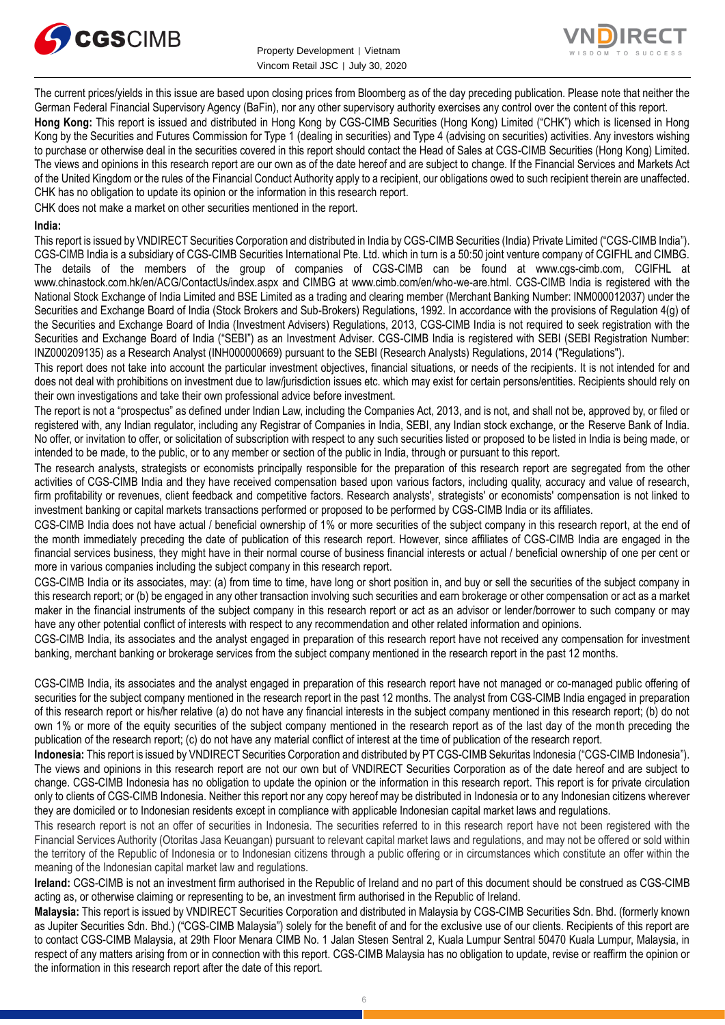



The current prices/yields in this issue are based upon closing prices from Bloomberg as of the day preceding publication. Please note that neither the German Federal Financial Supervisory Agency (BaFin), nor any other supervisory authority exercises any control over the content of this report.

**Hong Kong:** This report is issued and distributed in Hong Kong by CGS-CIMB Securities (Hong Kong) Limited ("CHK") which is licensed in Hong Kong by the Securities and Futures Commission for Type 1 (dealing in securities) and Type 4 (advising on securities) activities. Any investors wishing to purchase or otherwise deal in the securities covered in this report should contact the Head of Sales at CGS-CIMB Securities (Hong Kong) Limited. The views and opinions in this research report are our own as of the date hereof and are subject to change. If the Financial Services and Markets Act of the United Kingdom or the rules of the Financial Conduct Authority apply to a recipient, our obligations owed to such recipient therein are unaffected. CHK has no obligation to update its opinion or the information in this research report.

CHK does not make a market on other securities mentioned in the report.

#### **India:**

This report is issued by VNDIRECT Securities Corporation and distributed in India by CGS-CIMB Securities (India) Private Limited ("CGS-CIMB India"). CGS-CIMB India is a subsidiary of CGS-CIMB Securities International Pte. Ltd. which in turn is a 50:50 joint venture company of CGIFHL and CIMBG. The details of the members of the group of companies of CGS-CIMB can be found at www.cgs-cimb.com, CGIFHL at www.chinastock.com.hk/en/ACG/ContactUs/index.aspx and CIMBG at www.cimb.com/en/who-we-are.html. CGS-CIMB India is registered with the National Stock Exchange of India Limited and BSE Limited as a trading and clearing member (Merchant Banking Number: INM000012037) under the Securities and Exchange Board of India (Stock Brokers and Sub-Brokers) Regulations, 1992. In accordance with the provisions of Regulation 4(g) of the Securities and Exchange Board of India (Investment Advisers) Regulations, 2013, CGS-CIMB India is not required to seek registration with the Securities and Exchange Board of India ("SEBI") as an Investment Adviser. CGS-CIMB India is registered with SEBI (SEBI Registration Number: INZ000209135) as a Research Analyst (INH000000669) pursuant to the SEBI (Research Analysts) Regulations, 2014 ("Regulations").

This report does not take into account the particular investment objectives, financial situations, or needs of the recipients. It is not intended for and does not deal with prohibitions on investment due to law/jurisdiction issues etc. which may exist for certain persons/entities. Recipients should rely on their own investigations and take their own professional advice before investment.

The report is not a "prospectus" as defined under Indian Law, including the Companies Act, 2013, and is not, and shall not be, approved by, or filed or registered with, any Indian regulator, including any Registrar of Companies in India, SEBI, any Indian stock exchange, or the Reserve Bank of India. No offer, or invitation to offer, or solicitation of subscription with respect to any such securities listed or proposed to be listed in India is being made, or intended to be made, to the public, or to any member or section of the public in India, through or pursuant to this report.

The research analysts, strategists or economists principally responsible for the preparation of this research report are segregated from the other activities of CGS-CIMB India and they have received compensation based upon various factors, including quality, accuracy and value of research, firm profitability or revenues, client feedback and competitive factors. Research analysts', strategists' or economists' compensation is not linked to investment banking or capital markets transactions performed or proposed to be performed by CGS-CIMB India or its affiliates.

CGS-CIMB India does not have actual / beneficial ownership of 1% or more securities of the subject company in this research report, at the end of the month immediately preceding the date of publication of this research report. However, since affiliates of CGS-CIMB India are engaged in the financial services business, they might have in their normal course of business financial interests or actual / beneficial ownership of one per cent or more in various companies including the subject company in this research report.

CGS-CIMB India or its associates, may: (a) from time to time, have long or short position in, and buy or sell the securities of the subject company in this research report; or (b) be engaged in any other transaction involving such securities and earn brokerage or other compensation or act as a market maker in the financial instruments of the subject company in this research report or act as an advisor or lender/borrower to such company or may have any other potential conflict of interests with respect to any recommendation and other related information and opinions.

CGS-CIMB India, its associates and the analyst engaged in preparation of this research report have not received any compensation for investment banking, merchant banking or brokerage services from the subject company mentioned in the research report in the past 12 months.

CGS-CIMB India, its associates and the analyst engaged in preparation of this research report have not managed or co-managed public offering of securities for the subject company mentioned in the research report in the past 12 months. The analyst from CGS-CIMB India engaged in preparation of this research report or his/her relative (a) do not have any financial interests in the subject company mentioned in this research report; (b) do not own 1% or more of the equity securities of the subject company mentioned in the research report as of the last day of the month preceding the publication of the research report; (c) do not have any material conflict of interest at the time of publication of the research report.

**Indonesia:** This report is issued by VNDIRECT Securities Corporation and distributed by PT CGS-CIMB Sekuritas Indonesia ("CGS-CIMB Indonesia"). The views and opinions in this research report are not our own but of VNDIRECT Securities Corporation as of the date hereof and are subject to change. CGS-CIMB Indonesia has no obligation to update the opinion or the information in this research report. This report is for private circulation only to clients of CGS-CIMB Indonesia. Neither this report nor any copy hereof may be distributed in Indonesia or to any Indonesian citizens wherever they are domiciled or to Indonesian residents except in compliance with applicable Indonesian capital market laws and regulations.

This research report is not an offer of securities in Indonesia. The securities referred to in this research report have not been registered with the Financial Services Authority (Otoritas Jasa Keuangan) pursuant to relevant capital market laws and regulations, and may not be offered or sold within the territory of the Republic of Indonesia or to Indonesian citizens through a public offering or in circumstances which constitute an offer within the meaning of the Indonesian capital market law and regulations.

**Ireland:** CGS-CIMB is not an investment firm authorised in the Republic of Ireland and no part of this document should be construed as CGS-CIMB acting as, or otherwise claiming or representing to be, an investment firm authorised in the Republic of Ireland.

**Malaysia:** This report is issued by VNDIRECT Securities Corporation and distributed in Malaysia by CGS-CIMB Securities Sdn. Bhd. (formerly known as Jupiter Securities Sdn. Bhd.) ("CGS-CIMB Malaysia") solely for the benefit of and for the exclusive use of our clients. Recipients of this report are to contact CGS-CIMB Malaysia, at 29th Floor Menara CIMB No. 1 Jalan Stesen Sentral 2, Kuala Lumpur Sentral 50470 Kuala Lumpur, Malaysia, in respect of any matters arising from or in connection with this report. CGS-CIMB Malaysia has no obligation to update, revise or reaffirm the opinion or the information in this research report after the date of this report.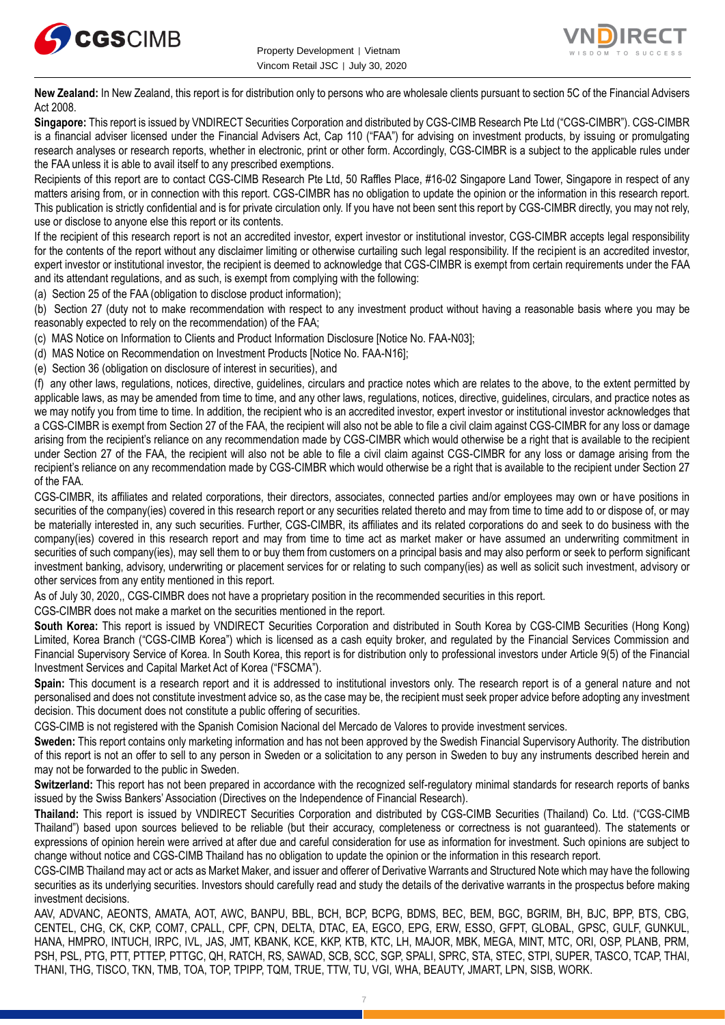



**New Zealand:** In New Zealand, this report is for distribution only to persons who are wholesale clients pursuant to section 5C of the Financial Advisers Act 2008.

**Singapore:** This report is issued by VNDIRECT Securities Corporation and distributed by CGS-CIMB Research Pte Ltd ("CGS-CIMBR"). CGS-CIMBR is a financial adviser licensed under the Financial Advisers Act, Cap 110 ("FAA") for advising on investment products, by issuing or promulgating research analyses or research reports, whether in electronic, print or other form. Accordingly, CGS-CIMBR is a subject to the applicable rules under the FAA unless it is able to avail itself to any prescribed exemptions.

Recipients of this report are to contact CGS-CIMB Research Pte Ltd, 50 Raffles Place, #16-02 Singapore Land Tower, Singapore in respect of any matters arising from, or in connection with this report. CGS-CIMBR has no obligation to update the opinion or the information in this research report. This publication is strictly confidential and is for private circulation only. If you have not been sent this report by CGS-CIMBR directly, you may not rely, use or disclose to anyone else this report or its contents.

If the recipient of this research report is not an accredited investor, expert investor or institutional investor, CGS-CIMBR accepts legal responsibility for the contents of the report without any disclaimer limiting or otherwise curtailing such legal responsibility. If the recipient is an accredited investor, expert investor or institutional investor, the recipient is deemed to acknowledge that CGS-CIMBR is exempt from certain requirements under the FAA and its attendant regulations, and as such, is exempt from complying with the following:

(a) Section 25 of the FAA (obligation to disclose product information);

(b) Section 27 (duty not to make recommendation with respect to any investment product without having a reasonable basis where you may be reasonably expected to rely on the recommendation) of the FAA;

(c) MAS Notice on Information to Clients and Product Information Disclosure [Notice No. FAA-N03];

(d) MAS Notice on Recommendation on Investment Products [Notice No. FAA-N16];

(e) Section 36 (obligation on disclosure of interest in securities), and

(f) any other laws, regulations, notices, directive, guidelines, circulars and practice notes which are relates to the above, to the extent permitted by applicable laws, as may be amended from time to time, and any other laws, regulations, notices, directive, guidelines, circulars, and practice notes as we may notify you from time to time. In addition, the recipient who is an accredited investor, expert investor or institutional investor acknowledges that a CGS-CIMBR is exempt from Section 27 of the FAA, the recipient will also not be able to file a civil claim against CGS-CIMBR for any loss or damage arising from the recipient's reliance on any recommendation made by CGS-CIMBR which would otherwise be a right that is available to the recipient under Section 27 of the FAA, the recipient will also not be able to file a civil claim against CGS-CIMBR for any loss or damage arising from the recipient's reliance on any recommendation made by CGS-CIMBR which would otherwise be a right that is available to the recipient under Section 27 of the FAA.

CGS-CIMBR, its affiliates and related corporations, their directors, associates, connected parties and/or employees may own or have positions in securities of the company(ies) covered in this research report or any securities related thereto and may from time to time add to or dispose of, or may be materially interested in, any such securities. Further, CGS-CIMBR, its affiliates and its related corporations do and seek to do business with the company(ies) covered in this research report and may from time to time act as market maker or have assumed an underwriting commitment in securities of such company(ies), may sell them to or buy them from customers on a principal basis and may also perform or seek to perform significant investment banking, advisory, underwriting or placement services for or relating to such company(ies) as well as solicit such investment, advisory or other services from any entity mentioned in this report.

As of July 30, 2020,, CGS-CIMBR does not have a proprietary position in the recommended securities in this report.

CGS-CIMBR does not make a market on the securities mentioned in the report.

**South Korea:** This report is issued by VNDIRECT Securities Corporation and distributed in South Korea by CGS-CIMB Securities (Hong Kong) Limited, Korea Branch ("CGS-CIMB Korea") which is licensed as a cash equity broker, and regulated by the Financial Services Commission and Financial Supervisory Service of Korea. In South Korea, this report is for distribution only to professional investors under Article 9(5) of the Financial Investment Services and Capital Market Act of Korea ("FSCMA").

**Spain:** This document is a research report and it is addressed to institutional investors only. The research report is of a general nature and not personalised and does not constitute investment advice so, as the case may be, the recipient must seek proper advice before adopting any investment decision. This document does not constitute a public offering of securities.

CGS-CIMB is not registered with the Spanish Comision Nacional del Mercado de Valores to provide investment services.

**Sweden:** This report contains only marketing information and has not been approved by the Swedish Financial Supervisory Authority. The distribution of this report is not an offer to sell to any person in Sweden or a solicitation to any person in Sweden to buy any instruments described herein and may not be forwarded to the public in Sweden.

Switzerland: This report has not been prepared in accordance with the recognized self-regulatory minimal standards for research reports of banks issued by the Swiss Bankers' Association (Directives on the Independence of Financial Research).

**Thailand:** This report is issued by VNDIRECT Securities Corporation and distributed by CGS-CIMB Securities (Thailand) Co. Ltd. ("CGS-CIMB Thailand") based upon sources believed to be reliable (but their accuracy, completeness or correctness is not guaranteed). The statements or expressions of opinion herein were arrived at after due and careful consideration for use as information for investment. Such opinions are subject to change without notice and CGS-CIMB Thailand has no obligation to update the opinion or the information in this research report.

CGS-CIMB Thailand may act or acts as Market Maker, and issuer and offerer of Derivative Warrants and Structured Note which may have the following securities as its underlying securities. Investors should carefully read and study the details of the derivative warrants in the prospectus before making investment decisions.

AAV, ADVANC, AEONTS, AMATA, AOT, AWC, BANPU, BBL, BCH, BCP, BCPG, BDMS, BEC, BEM, BGC, BGRIM, BH, BJC, BPP, BTS, CBG, CENTEL, CHG, CK, CKP, COM7, CPALL, CPF, CPN, DELTA, DTAC, EA, EGCO, EPG, ERW, ESSO, GFPT, GLOBAL, GPSC, GULF, GUNKUL, HANA, HMPRO, INTUCH, IRPC, IVL, JAS, JMT, KBANK, KCE, KKP, KTB, KTC, LH, MAJOR, MBK, MEGA, MINT, MTC, ORI, OSP, PLANB, PRM, PSH, PSL, PTG, PTT, PTTEP, PTTGC, QH, RATCH, RS, SAWAD, SCB, SCC, SGP, SPALI, SPRC, STA, STEC, STPI, SUPER, TASCO, TCAP, THAI, THANI, THG, TISCO, TKN, TMB, TOA, TOP, TPIPP, TQM, TRUE, TTW, TU, VGI, WHA, BEAUTY, JMART, LPN, SISB, WORK.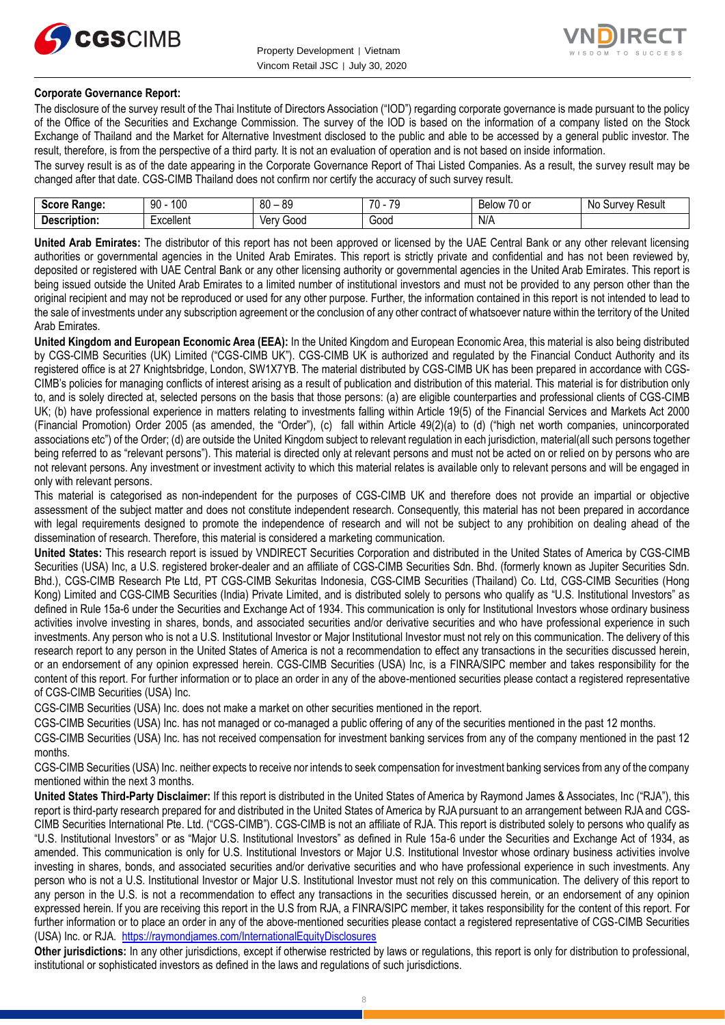



#### **Corporate Governance Report:**

The disclosure of the survey result of the Thai Institute of Directors Association ("IOD") regarding corporate governance is made pursuant to the policy of the Office of the Securities and Exchange Commission. The survey of the IOD is based on the information of a company listed on the Stock Exchange of Thailand and the Market for Alternative Investment disclosed to the public and able to be accessed by a general public investor. The result, therefore, is from the perspective of a third party. It is not an evaluation of operation and is not based on inside information.

The survey result is as of the date appearing in the Corporate Governance Report of Thai Listed Companies. As a result, the survey result may be changed after that date. CGS-CIMB Thailand does not confirm nor certify the accuracy of such survey result.

| Score<br><b>Range:</b> | م م<br>90<br>טע | RΛ<br>or<br>~<br>ಀಀ<br>υv | 70<br>$\overline{\phantom{a}}$<br>.<br>. ت | $\overline{\phantom{a}}$<br>-<br>$\sim$<br><b>Below</b><br>ו טעו | N0<br>Result<br>Jurvey |
|------------------------|-----------------|---------------------------|--------------------------------------------|------------------------------------------------------------------|------------------------|
| -<br>Description.      | -<br>Excellent  | 000خ<br>Verv              | -<br>Good<br>.                             | N/A<br>$\sim$ $\sim$ $\sim$ $\sim$ $\sim$ $\sim$                 |                        |

**United Arab Emirates:** The distributor of this report has not been approved or licensed by the UAE Central Bank or any other relevant licensing authorities or governmental agencies in the United Arab Emirates. This report is strictly private and confidential and has not been reviewed by, deposited or registered with UAE Central Bank or any other licensing authority or governmental agencies in the United Arab Emirates. This report is being issued outside the United Arab Emirates to a limited number of institutional investors and must not be provided to any person other than the original recipient and may not be reproduced or used for any other purpose. Further, the information contained in this report is not intended to lead to the sale of investments under any subscription agreement or the conclusion of any other contract of whatsoever nature within the territory of the United Arab Emirates.

**United Kingdom and European Economic Area (EEA):** In the United Kingdom and European Economic Area, this material is also being distributed by CGS-CIMB Securities (UK) Limited ("CGS-CIMB UK"). CGS-CIMB UK is authorized and regulated by the Financial Conduct Authority and its registered office is at 27 Knightsbridge, London, SW1X7YB. The material distributed by CGS-CIMB UK has been prepared in accordance with CGS-CIMB's policies for managing conflicts of interest arising as a result of publication and distribution of this material. This material is for distribution only to, and is solely directed at, selected persons on the basis that those persons: (a) are eligible counterparties and professional clients of CGS-CIMB UK; (b) have professional experience in matters relating to investments falling within Article 19(5) of the Financial Services and Markets Act 2000 (Financial Promotion) Order 2005 (as amended, the "Order"), (c) fall within Article 49(2)(a) to (d) ("high net worth companies, unincorporated associations etc") of the Order; (d) are outside the United Kingdom subject to relevant regulation in each jurisdiction, material(all such persons together being referred to as "relevant persons"). This material is directed only at relevant persons and must not be acted on or relied on by persons who are not relevant persons. Any investment or investment activity to which this material relates is available only to relevant persons and will be engaged in only with relevant persons.

This material is categorised as non-independent for the purposes of CGS-CIMB UK and therefore does not provide an impartial or objective assessment of the subject matter and does not constitute independent research. Consequently, this material has not been prepared in accordance with legal requirements designed to promote the independence of research and will not be subject to any prohibition on dealing ahead of the dissemination of research. Therefore, this material is considered a marketing communication.

**United States:** This research report is issued by VNDIRECT Securities Corporation and distributed in the United States of America by CGS-CIMB Securities (USA) Inc, a U.S. registered broker-dealer and an affiliate of CGS-CIMB Securities Sdn. Bhd. (formerly known as Jupiter Securities Sdn. Bhd.), CGS-CIMB Research Pte Ltd, PT CGS-CIMB Sekuritas Indonesia, CGS-CIMB Securities (Thailand) Co. Ltd, CGS-CIMB Securities (Hong Kong) Limited and CGS-CIMB Securities (India) Private Limited, and is distributed solely to persons who qualify as "U.S. Institutional Investors" as defined in Rule 15a-6 under the Securities and Exchange Act of 1934. This communication is only for Institutional Investors whose ordinary business activities involve investing in shares, bonds, and associated securities and/or derivative securities and who have professional experience in such investments. Any person who is not a U.S. Institutional Investor or Major Institutional Investor must not rely on this communication. The delivery of this research report to any person in the United States of America is not a recommendation to effect any transactions in the securities discussed herein, or an endorsement of any opinion expressed herein. CGS-CIMB Securities (USA) Inc, is a FINRA/SIPC member and takes responsibility for the content of this report. For further information or to place an order in any of the above-mentioned securities please contact a registered representative of CGS-CIMB Securities (USA) Inc.

CGS-CIMB Securities (USA) Inc. does not make a market on other securities mentioned in the report.

CGS-CIMB Securities (USA) Inc. has not managed or co-managed a public offering of any of the securities mentioned in the past 12 months.

CGS-CIMB Securities (USA) Inc. has not received compensation for investment banking services from any of the company mentioned in the past 12 months.

CGS-CIMB Securities (USA) Inc. neither expects to receive nor intends to seek compensation for investment banking services from any of the company mentioned within the next 3 months.

**United States Third-Party Disclaimer:** If this report is distributed in the United States of America by Raymond James & Associates, Inc ("RJA"), this report is third-party research prepared for and distributed in the United States of America by RJA pursuant to an arrangement between RJA and CGS-CIMB Securities International Pte. Ltd. ("CGS-CIMB"). CGS-CIMB is not an affiliate of RJA. This report is distributed solely to persons who qualify as "U.S. Institutional Investors" or as "Major U.S. Institutional Investors" as defined in Rule 15a-6 under the Securities and Exchange Act of 1934, as amended. This communication is only for U.S. Institutional Investors or Major U.S. Institutional Investor whose ordinary business activities involve investing in shares, bonds, and associated securities and/or derivative securities and who have professional experience in such investments. Any person who is not a U.S. Institutional Investor or Major U.S. Institutional Investor must not rely on this communication. The delivery of this report to any person in the U.S. is not a recommendation to effect any transactions in the securities discussed herein, or an endorsement of any opinion expressed herein. If you are receiving this report in the U.S from RJA, a FINRA/SIPC member, it takes responsibility for the content of this report. For further information or to place an order in any of the above-mentioned securities please contact a registered representative of CGS-CIMB Securities (USA) Inc. or RJA. <https://raymondjames.com/InternationalEquityDisclosures>

**Other jurisdictions:** In any other jurisdictions, except if otherwise restricted by laws or regulations, this report is only for distribution to professional, institutional or sophisticated investors as defined in the laws and regulations of such jurisdictions.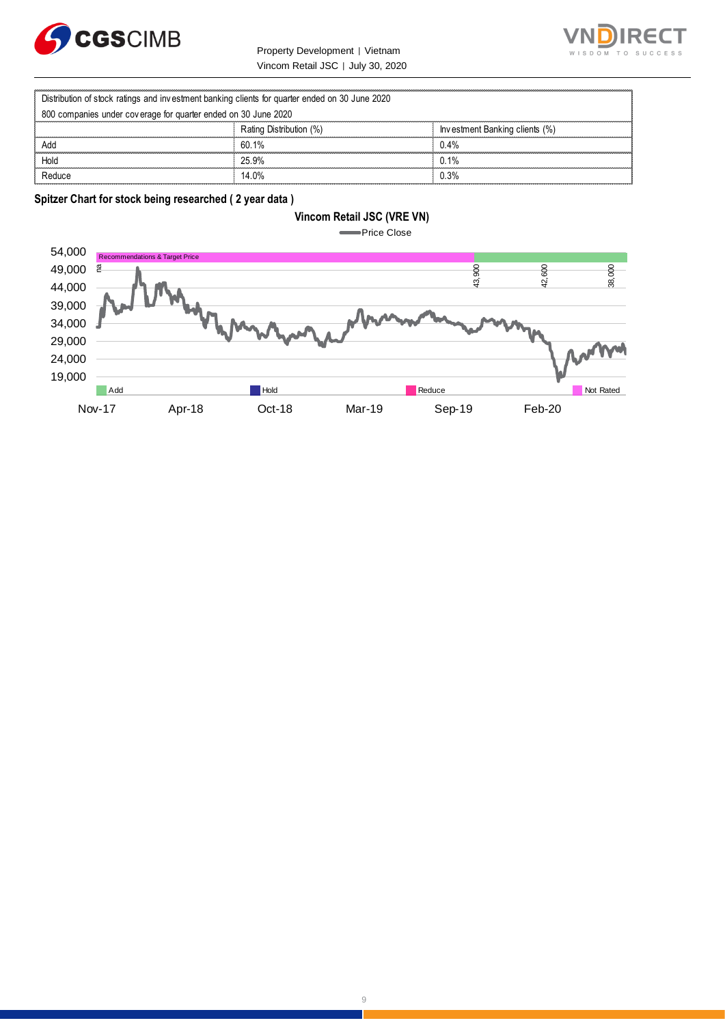

Property Development | Vietnam Vincom Retail JSC | July 30, 2020



|                                                                                                | Property Development   Vietnam    |                                |
|------------------------------------------------------------------------------------------------|-----------------------------------|--------------------------------|
|                                                                                                | Vincom Retail JSC   July 30, 2020 |                                |
| Distribution of stock ratings and investment banking clients for quarter ended on 30 June 2020 |                                   |                                |
| 800 companies under coverage for quarter ended on 30 June 2020                                 |                                   |                                |
|                                                                                                | Rating Distribution (%)           | Investment Banking clients (%) |
| Add                                                                                            | 60.1%                             | 0.4%                           |
| Hold                                                                                           | 25.9%                             | 0.1%                           |
| Reduce                                                                                         | 14.0%                             | 0.3%                           |

**Spitzer Chart for stock being researched ( 2 year data )** 

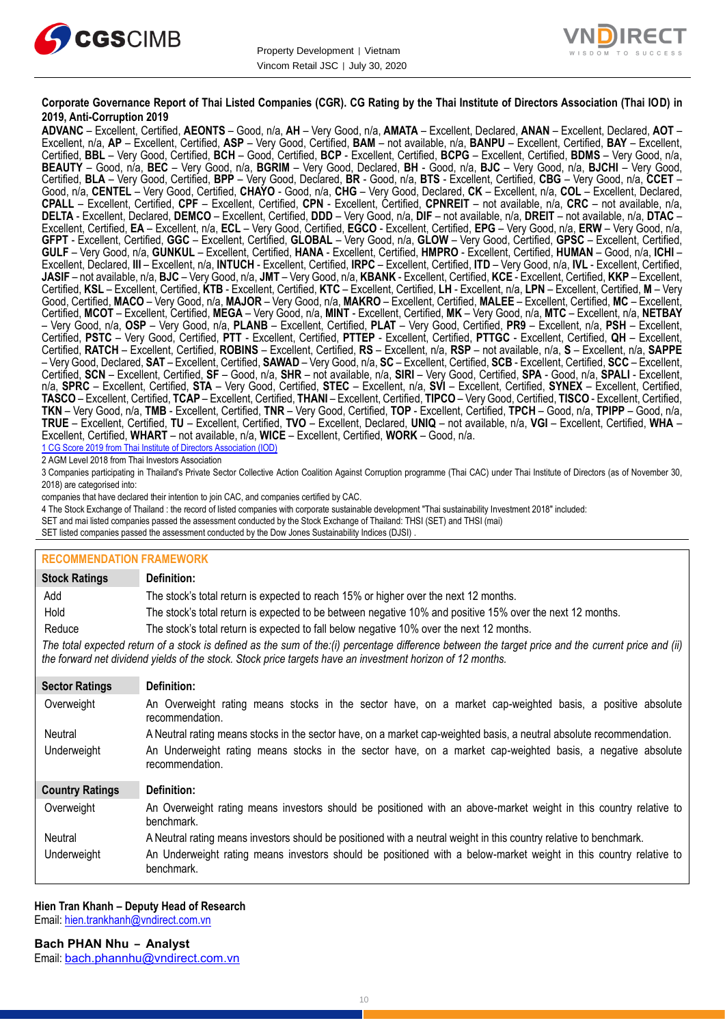



#### **Corporate Governance Report of Thai Listed Companies (CGR). CG Rating by the Thai Institute of Directors Association (Thai IOD) in 2019, Anti-Corruption 2019**

**ADVANC** – Excellent, Certified, **AEONTS** – Good, n/a, **AH** – Very Good, n/a, **AMATA** – Excellent, Declared, **ANAN** – Excellent, Declared, **AOT** – Excellent, n/a, **AP** – Excellent, Certified, **ASP** – Very Good, Certified, **BAM** – not available, n/a, **BANPU** – Excellent, Certified, **BAY** – Excellent, Certified, **BBL** – Very Good, Certified, **BCH** – Good, Certified, **BCP** - Excellent, Certified, **BCPG** – Excellent, Certified, **BDMS** – Very Good, n/a, **BEAUTY** – Good, n/a, **BEC** – Very Good, n/a, **BGRIM** – Very Good, Declared, **BH** - Good, n/a, **BJC** – Very Good, n/a, **BJCHI** – Very Good, Certified, **BLA** – Very Good, Certified, **BPP** – Very Good, Declared, **BR** - Good, n/a, **BTS** - Excellent, Certified, **CBG** – Very Good, n/a, **CCET** – Good, n/a, **CENTEL** – Very Good, Certified, **CHAYO** - Good, n/a, **CHG** – Very Good, Declared, **CK** – Excellent, n/a, **COL** – Excellent, Declared, **CPALL** – Excellent, Certified, **CPF** – Excellent, Certified, **CPN** - Excellent, Certified, **CPNREIT** – not available, n/a, **CRC** – not available, n/a, **DELTA** - Excellent, Declared, **DEMCO** – Excellent, Certified, **DDD** – Very Good, n/a, **DIF** – not available, n/a, **DREIT** – not available, n/a, **DTAC** – Excellent, Certified, **EA** – Excellent, n/a, **ECL** – Very Good, Certified, **EGCO** - Excellent, Certified, **EPG** – Very Good, n/a, **ERW** – Very Good, n/a, **GFPT** - Excellent, Certified, **GGC** – Excellent, Certified, **GLOBAL** – Very Good, n/a, **GLOW** – Very Good, Certified, **GPSC** – Excellent, Certified, **GULF** – Very Good, n/a, **GUNKUL** – Excellent, Certified, **HANA** - Excellent, Certified, **HMPRO** - Excellent, Certified, **HUMAN** – Good, n/a, **ICHI** – Excellent, Declared, **III** – Excellent, n/a, **INTUCH** - Excellent, Certified, **IRPC** – Excellent, Certified, **ITD** – Very Good, n/a, **IVL** - Excellent, Certified, **JASIF** – not available, n/a, **BJC** – Very Good, n/a, **JMT** – Very Good, n/a, **KBANK** - Excellent, Certified, **KCE** - Excellent, Certified, **KKP** – Excellent, Certified, **KSL** – Excellent, Certified, **KTB** - Excellent, Certified, **KTC** – Excellent, Certified, **LH** - Excellent, n/a, **LPN** – Excellent, Certified, **M** – Very Good, Certified, **MACO** – Very Good, n/a, **MAJOR** – Very Good, n/a, **MAKRO** – Excellent, Certified, **MALEE** – Excellent, Certified, **MC** – Excellent, Certified, **MCOT** – Excellent, Certified, **MEGA** – Very Good, n/a, **MINT** - Excellent, Certified, **MK** – Very Good, n/a, **MTC** – Excellent, n/a, **NETBAY** – Very Good, n/a, **OSP** – Very Good, n/a, **PLANB** – Excellent, Certified, **PLAT** – Very Good, Certified, **PR9** – Excellent, n/a, **PSH** – Excellent, Certified, **PSTC** – Very Good, Certified, **PTT** - Excellent, Certified, **PTTEP** - Excellent, Certified, **PTTGC** - Excellent, Certified, **QH** – Excellent, Certified, **RATCH** – Excellent, Certified, **ROBINS** – Excellent, Certified, **RS** – Excellent, n/a, **RSP** – not available, n/a, **S** – Excellent, n/a, **SAPPE** – Very Good, Declared, **SAT** – Excellent, Certified, **SAWAD** – Very Good, n/a, **SC** – Excellent, Certified, **SCB** - Excellent, Certified, **SCC** – Excellent, Certified, **SCN** – Excellent, Certified, **SF** – Good, n/a, **SHR** – not available, n/a, **SIRI** – Very Good, Certified, **SPA** - Good, n/a, **SPALI** - Excellent, n/a, **SPRC** – Excellent, Certified, **STA** – Very Good, Certified, **STEC** – Excellent, n/a, **SVI** – Excellent, Certified, **SYNEX** – Excellent, Certified, **TASCO** – Excellent, Certified, **TCAP** – Excellent, Certified, **THANI** – Excellent, Certified, **TIPCO** – Very Good, Certified, **TISCO** - Excellent, Certified, **TKN** – Very Good, n/a, **TMB** - Excellent, Certified, **TNR** – Very Good, Certified, **TOP** - Excellent, Certified, **TPCH** – Good, n/a, **TPIPP** – Good, n/a, **TRUE** – Excellent, Certified, **TU** – Excellent, Certified, **TVO** – Excellent, Declared, **UNIQ** – not available, n/a, **VGI** – Excellent, Certified, **WHA** – Excellent, Certified, **WHART** – not available, n/a, **WICE** – Excellent, Certified, **WORK** – Good, n/a. 1 CG Score 2019 from Thai Institute of Directors Association (IOD)

2 AGM Level 2018 from Thai Investors Association

3 Companies participating in Thailand's Private Sector Collective Action Coalition Against Corruption programme (Thai CAC) under Thai Institute of Directors (as of November 30, 2018) are categorised into:

companies that have declared their intention to join CAC, and companies certified by CAC.

- 4 [The Stock Exchange of Thailand : the record of listed companies with corporate sustainable development "Thai sustainability Investment 2018" included:](http://www.set.or.th/sustainable_dev/en/sr/sri/tsi_p1.html)
- SET and mai listed companies passed the assessment conducted by the Stock Exchange of Thailand: THSI (SET) and THSI (mai)

SET listed companies passed the assessment conducted by the Dow Jones Sustainability Indices (DJSI)

| <b>RECOMMENDATION FRAMEWORK</b>                                                                                                                                                                                                                                   |                                                                                                                                 |
|-------------------------------------------------------------------------------------------------------------------------------------------------------------------------------------------------------------------------------------------------------------------|---------------------------------------------------------------------------------------------------------------------------------|
| <b>Stock Ratings</b>                                                                                                                                                                                                                                              | Definition:                                                                                                                     |
| Add                                                                                                                                                                                                                                                               | The stock's total return is expected to reach 15% or higher over the next 12 months.                                            |
| Hold                                                                                                                                                                                                                                                              | The stock's total return is expected to be between negative 10% and positive 15% over the next 12 months.                       |
| Reduce                                                                                                                                                                                                                                                            | The stock's total return is expected to fall below negative 10% over the next 12 months.                                        |
| The total expected return of a stock is defined as the sum of the:(i) percentage difference between the target price and the current price and (ii)<br>the forward net dividend yields of the stock. Stock price targets have an investment horizon of 12 months. |                                                                                                                                 |
| <b>Sector Ratings</b>                                                                                                                                                                                                                                             | Definition:                                                                                                                     |
| Overweight                                                                                                                                                                                                                                                        | An Overweight rating means stocks in the sector have, on a market cap-weighted basis, a positive absolute<br>recommendation.    |
| Neutral                                                                                                                                                                                                                                                           | A Neutral rating means stocks in the sector have, on a market cap-weighted basis, a neutral absolute recommendation.            |
| Underweight                                                                                                                                                                                                                                                       | An Underweight rating means stocks in the sector have, on a market cap-weighted basis, a negative absolute<br>recommendation.   |
| <b>Country Ratings</b>                                                                                                                                                                                                                                            | Definition:                                                                                                                     |
| Overweight                                                                                                                                                                                                                                                        | An Overweight rating means investors should be positioned with an above-market weight in this country relative to<br>benchmark. |
| Neutral                                                                                                                                                                                                                                                           | A Neutral rating means investors should be positioned with a neutral weight in this country relative to benchmark.              |
| Underweight                                                                                                                                                                                                                                                       | An Underweight rating means investors should be positioned with a below-market weight in this country relative to<br>benchmark. |

#### **Hien Tran Khanh – Deputy Head of Research**

Email: [hien.trankhanh@vndirect.com.vn](mailto:hien.trankhanh@vndirect.com.vn)

**Bach PHAN Nhu – Analyst** Email: [bach.phannhu@vndirect.com.vn](mailto:bach.phannhu@vndirect.com.vn)